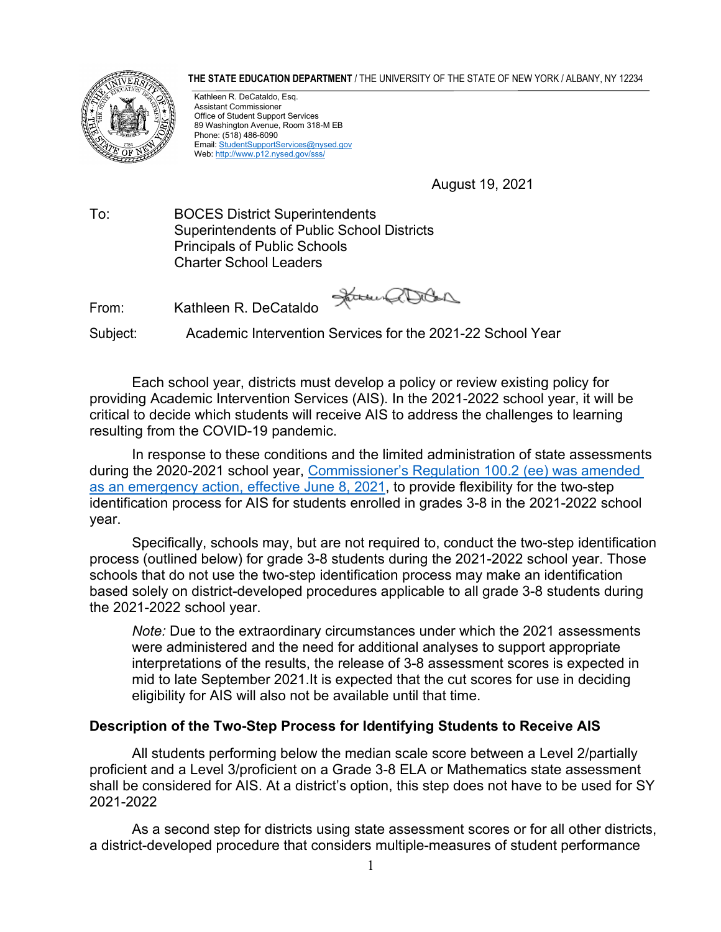**THE STATE EDUCATION DEPARTMENT** / THE UNIVERSITY OF THE STATE OF NEW YORK / ALBANY, NY 12234



Kathleen R. DeCataldo, Esq. Assistant Commissioner Office of Student Support Services 89 Washington Avenue, Room 318-M EB Phone: (518) 486-6090 Email[: StudentSupportServices@nysed.gov](mailto:StudentSupportServices@nysed.gov) Web[: http://www.p12.nysed.gov/sss/](http://www.p12.nysed.gov/sss/)

August 19, 2021

To: BOCES District Superintendents Superintendents of Public School Districts Principals of Public Schools Charter School Leaders

From: Kathleen R. DeCataldo

Janus aller

Subject: Academic Intervention Services for the 2021-22 School Year

Each school year, districts must develop a policy or review existing policy for providing Academic Intervention Services (AIS). In the 2021-2022 school year, it will be critical to decide which students will receive AIS to address the challenges to learning resulting from the COVID-19 pandemic.

In response to these conditions and the limited administration of state assessments during the 2020-2021 school year, [Commissioner's Regulation 100.2 \(ee\) was amended](https://www.regents.nysed.gov/common/regents/files/621p12a4.pdf) [as an emergency action, effective June 8, 2021,](https://www.regents.nysed.gov/common/regents/files/621p12a4.pdf) to provide flexibility for the two-step identification process for AIS for students enrolled in grades 3-8 in the 2021-2022 school year.

Specifically, schools may, but are not required to, conduct the two-step identification process (outlined below) for grade 3-8 students during the 2021-2022 school year. Those schools that do not use the two-step identification process may make an identification based solely on district-developed procedures applicable to all grade 3-8 students during the 2021-2022 school year.

*Note:* Due to the extraordinary circumstances under which the 2021 assessments were administered and the need for additional analyses to support appropriate interpretations of the results, the release of 3-8 assessment scores is expected in mid to late September 2021.It is expected that the cut scores for use in deciding eligibility for AIS will also not be available until that time.

## **Description of the Two-Step Process for Identifying Students to Receive AIS**

All students performing below the median scale score between a Level 2/partially proficient and a Level 3/proficient on a Grade 3-8 ELA or Mathematics state assessment shall be considered for AIS. At a district's option, this step does not have to be used for SY 2021-2022

As a second step for districts using state assessment scores or for all other districts, a district-developed procedure that considers multiple-measures of student performance